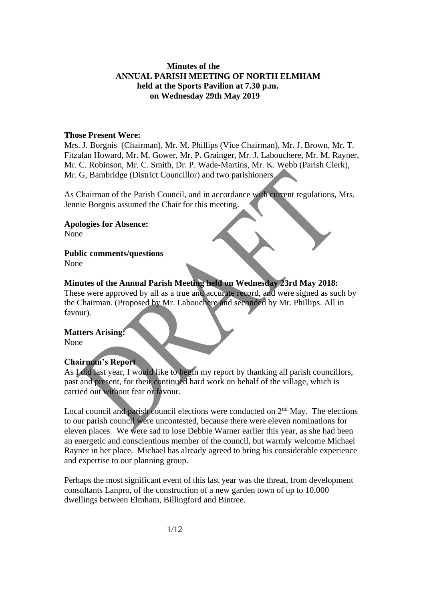#### **Minutes of the ANNUAL PARISH MEETING OF NORTH ELMHAM held at the Sports Pavilion at 7.30 p.m. on Wednesday 29th May 2019**

#### **Those Present Were:**

Mrs. J. Borgnis (Chairman), Mr. M. Phillips (Vice Chairman), Mr. J. Brown, Mr. T. Fitzalan Howard, Mr. M. Gower, Mr. P. Grainger, Mr. J. Labouchere, Mr. M. Rayner, Mr. C. Robinson, Mr. C. Smith, Dr. P. Wade-Martins, Mr. K. Webb (Parish Clerk), Mr. G, Bambridge (District Councillor) and two parishioners.

As Chairman of the Parish Council, and in accordance with current regulations, Mrs. Jennie Borgnis assumed the Chair for this meeting.

**Apologies for Absence:** None

# **Public comments/questions**

None

#### **Minutes of the Annual Parish Meeting held on Wednesday 23rd May 2018:**

These were approved by all as a true and accurate record, and were signed as such by the Chairman. (Proposed by Mr. Labouchere and seconded by Mr. Phillips. All in favour).

#### **Matters Arising:**

None

#### **Chairman's Report**

As I did last year, I would like to begin my report by thanking all parish councillors, past and present, for their continued hard work on behalf of the village, which is carried out without fear or favour.

Local council and parish council elections were conducted on  $2<sup>nd</sup>$  May. The elections to our parish council were uncontested, because there were eleven nominations for eleven places. We were sad to lose Debbie Warner earlier this year, as she had been an energetic and conscientious member of the council, but warmly welcome Michael Rayner in her place. Michael has already agreed to bring his considerable experience and expertise to our planning group.

Perhaps the most significant event of this last year was the threat, from development consultants Lanpro, of the construction of a new garden town of up to 10,000 dwellings between Elmham, Billingford and Bintree.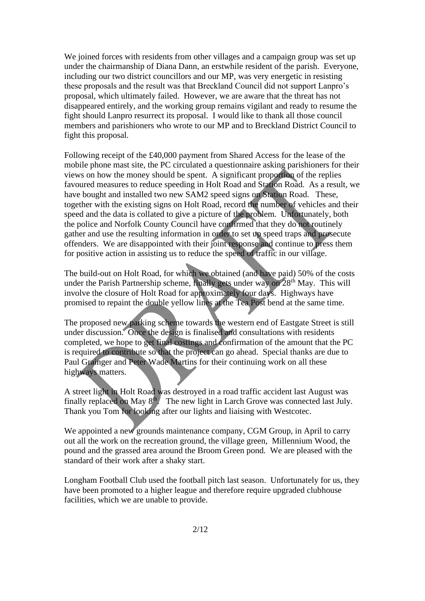We joined forces with residents from other villages and a campaign group was set up under the chairmanship of Diana Dann, an erstwhile resident of the parish. Everyone, including our two district councillors and our MP, was very energetic in resisting these proposals and the result was that Breckland Council did not support Lanpro's proposal, which ultimately failed. However, we are aware that the threat has not disappeared entirely, and the working group remains vigilant and ready to resume the fight should Lanpro resurrect its proposal. I would like to thank all those council members and parishioners who wrote to our MP and to Breckland District Council to fight this proposal.

Following receipt of the £40,000 payment from Shared Access for the lease of the mobile phone mast site, the PC circulated a questionnaire asking parishioners for their views on how the money should be spent. A significant proportion of the replies favoured measures to reduce speeding in Holt Road and Station Road. As a result, we have bought and installed two new SAM2 speed signs on Station Road. These, together with the existing signs on Holt Road, record the number of vehicles and their speed and the data is collated to give a picture of the problem. Unfortunately, both the police and Norfolk County Council have confirmed that they do not routinely gather and use the resulting information in order to set up speed traps and prosecute offenders. We are disappointed with their joint response and continue to press them for positive action in assisting us to reduce the speed of traffic in our village.

The build-out on Holt Road, for which we obtained (and have paid) 50% of the costs under the Parish Partnership scheme, finally gets under way on  $28<sup>th</sup>$  May. This will involve the closure of Holt Road for approximately four days. Highways have promised to repaint the double yellow lines at the Tea Post bend at the same time.

The proposed new parking scheme towards the western end of Eastgate Street is still under discussion. Once the design is finalised and consultations with residents completed, we hope to get final costings and confirmation of the amount that the PC is required to contribute so that the project can go ahead. Special thanks are due to Paul Grainger and Peter Wade Martins for their continuing work on all these highways matters.

A street light in Holt Road was destroyed in a road traffic accident last August was finally replaced on May 8th. The new light in Larch Grove was connected last July. Thank you Tom for looking after our lights and liaising with Westcotec.

We appointed a new grounds maintenance company, CGM Group, in April to carry out all the work on the recreation ground, the village green, Millennium Wood, the pound and the grassed area around the Broom Green pond. We are pleased with the standard of their work after a shaky start.

Longham Football Club used the football pitch last season. Unfortunately for us, they have been promoted to a higher league and therefore require upgraded clubhouse facilities, which we are unable to provide.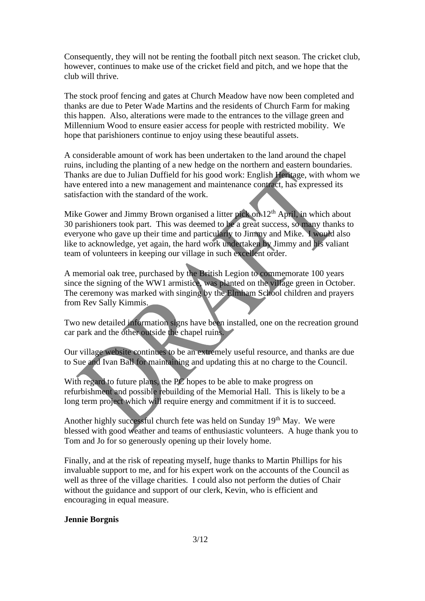Consequently, they will not be renting the football pitch next season. The cricket club, however, continues to make use of the cricket field and pitch, and we hope that the club will thrive.

The stock proof fencing and gates at Church Meadow have now been completed and thanks are due to Peter Wade Martins and the residents of Church Farm for making this happen. Also, alterations were made to the entrances to the village green and Millennium Wood to ensure easier access for people with restricted mobility. We hope that parishioners continue to enjoy using these beautiful assets.

A considerable amount of work has been undertaken to the land around the chapel ruins, including the planting of a new hedge on the northern and eastern boundaries. Thanks are due to Julian Duffield for his good work: English Heritage, with whom we have entered into a new management and maintenance contract, has expressed its satisfaction with the standard of the work.

Mike Gower and Jimmy Brown organised a litter pick on 12<sup>th</sup> April, in which about 30 parishioners took part. This was deemed to be a great success, so many thanks to everyone who gave up their time and particularly to Jimmy and Mike. I would also like to acknowledge, yet again, the hard work undertaken by Jimmy and his valiant team of volunteers in keeping our village in such excellent order.

A memorial oak tree, purchased by the British Legion to commemorate 100 years since the signing of the WW1 armistice, was planted on the village green in October. The ceremony was marked with singing by the Elmham School children and prayers from Rev Sally Kimmis.

Two new detailed information signs have been installed, one on the recreation ground car park and the other outside the chapel ruins.

Our village website continues to be an extremely useful resource, and thanks are due to Sue and Ivan Ball for maintaining and updating this at no charge to the Council.

With regard to future plans, the PC hopes to be able to make progress on refurbishment and possible rebuilding of the Memorial Hall. This is likely to be a long term project which will require energy and commitment if it is to succeed.

Another highly successful church fete was held on Sunday 19<sup>th</sup> May. We were blessed with good weather and teams of enthusiastic volunteers. A huge thank you to Tom and Jo for so generously opening up their lovely home.

Finally, and at the risk of repeating myself, huge thanks to Martin Phillips for his invaluable support to me, and for his expert work on the accounts of the Council as well as three of the village charities. I could also not perform the duties of Chair without the guidance and support of our clerk, Kevin, who is efficient and encouraging in equal measure.

#### **Jennie Borgnis**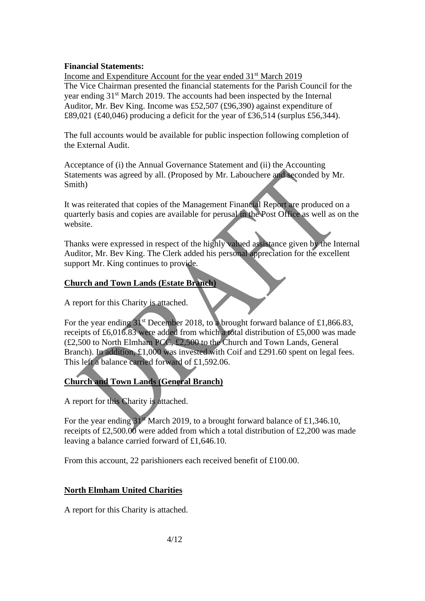#### **Financial Statements:**

Income and Expenditure Account for the year ended 31<sup>st</sup> March 2019 The Vice Chairman presented the financial statements for the Parish Council for the year ending 31st March 2019. The accounts had been inspected by the Internal Auditor, Mr. Bev King. Income was £52,507 (£96,390) against expenditure of £89,021 (£40,046) producing a deficit for the year of £36,514 (surplus £56,344).

The full accounts would be available for public inspection following completion of the External Audit.

Acceptance of (i) the Annual Governance Statement and (ii) the Accounting Statements was agreed by all. (Proposed by Mr. Labouchere and seconded by Mr. Smith)

It was reiterated that copies of the Management Financial Report are produced on a quarterly basis and copies are available for perusal in the Post Office as well as on the website.

Thanks were expressed in respect of the highly valued assistance given by the Internal Auditor, Mr. Bev King. The Clerk added his personal appreciation for the excellent support Mr. King continues to provide.

#### **Church and Town Lands (Estate Branch)**

A report for this Charity is attached.

For the year ending  $31^{st}$  December 2018, to a brought forward balance of £1,866.83, receipts of £6,016.83 were added from which a total distribution of £5,000 was made (£2,500 to North Elmham PCC, £2,500 to the Church and Town Lands, General Branch). In addition, £1,000 was invested with Coif and £291.60 spent on legal fees. This left a balance carried forward of £1,592.06.

## **Church and Town Lands (General Branch)**

A report for this Charity is attached.

For the year ending  $31<sup>st</sup>$  March 2019, to a brought forward balance of £1,346.10, receipts of £2,500.00 were added from which a total distribution of £2,200 was made leaving a balance carried forward of £1,646.10.

From this account, 22 parishioners each received benefit of £100.00.

#### **North Elmham United Charities**

A report for this Charity is attached.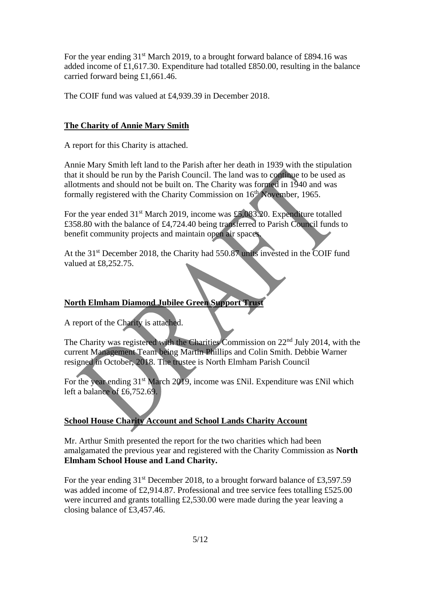For the year ending  $31<sup>st</sup>$  March 2019, to a brought forward balance of £894.16 was added income of £1,617.30. Expenditure had totalled £850.00, resulting in the balance carried forward being £1,661.46.

The COIF fund was valued at £4,939.39 in December 2018.

### **The Charity of Annie Mary Smith**

A report for this Charity is attached.

Annie Mary Smith left land to the Parish after her death in 1939 with the stipulation that it should be run by the Parish Council. The land was to continue to be used as allotments and should not be built on. The Charity was formed in 1940 and was formally registered with the Charity Commission on  $16<sup>th</sup>$  November, 1965.

For the year ended  $31<sup>st</sup>$  March 2019, income was £5,083.20. Expenditure totalled £358.80 with the balance of £4,724.40 being transferred to Parish Council funds to benefit community projects and maintain open air spaces.

At the 31<sup>st</sup> December 2018, the Charity had 550.87 units invested in the COIF fund valued at £8,252.75.

## **North Elmham Diamond Jubilee Green Support Trust**

A report of the Charity is attached.

The Charity was registered with the Charities Commission on 22nd July 2014, with the current Management Team being Martin Phillips and Colin Smith. Debbie Warner resigned in October, 2018. The trustee is North Elmham Parish Council

For the year ending  $31<sup>st</sup>$  March 2019, income was £Nil. Expenditure was £Nil which left a balance of £6,752.69.

## **School House Charity Account and School Lands Charity Account**

Mr. Arthur Smith presented the report for the two charities which had been amalgamated the previous year and registered with the Charity Commission as **North Elmham School House and Land Charity.**

For the year ending 31<sup>st</sup> December 2018, to a brought forward balance of £3,597.59 was added income of £2,914.87. Professional and tree service fees totalling £525.00 were incurred and grants totalling £2,530.00 were made during the year leaving a closing balance of £3,457.46.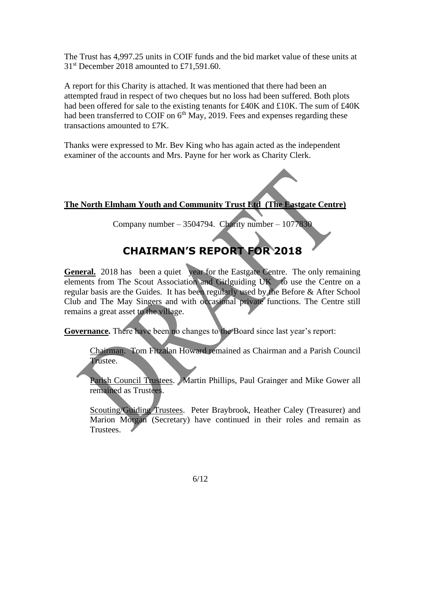The Trust has 4,997.25 units in COIF funds and the bid market value of these units at 31<sup>st</sup> December 2018 amounted to £71,591.60.

A report for this Charity is attached. It was mentioned that there had been an attempted fraud in respect of two cheques but no loss had been suffered. Both plots had been offered for sale to the existing tenants for £40K and £10K. The sum of £40K had been transferred to COIF on  $6<sup>th</sup>$  May, 2019. Fees and expenses regarding these transactions amounted to £7K.

Thanks were expressed to Mr. Bev King who has again acted as the independent examiner of the accounts and Mrs. Payne for her work as Charity Clerk.

### **The North Elmham Youth and Community Trust Ltd (The Eastgate Centre)**

Company number – 3504794. Charity number –  $1077830$ 

# **CHAIRMAN'S REPORT FOR 2018**

**General.** 2018 has been a quiet year for the Eastgate Centre. The only remaining elements from The Scout Association and Girlguiding UK to use the Centre on a regular basis are the Guides. It has been regularly used by the Before & After School Club and The May Singers and with occasional private functions. The Centre still remains a great asset to the village.

**Governance.** There have been no changes to the Board since last year's report:

Chairman. Tom Fitzalan Howard remained as Chairman and a Parish Council Trustee.

Parish Council Trustees. Martin Phillips, Paul Grainger and Mike Gower all remained as Trustees.

Scouting/Guiding Trustees. Peter Braybrook, Heather Caley (Treasurer) and Marion Morgan (Secretary) have continued in their roles and remain as Trustees.

6/12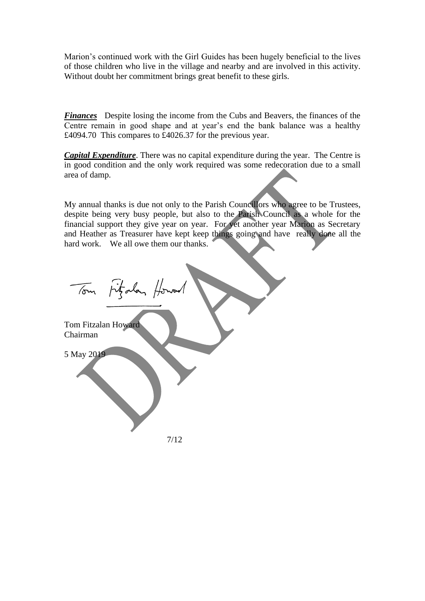Marion's continued work with the Girl Guides has been hugely beneficial to the lives of those children who live in the village and nearby and are involved in this activity. Without doubt her commitment brings great benefit to these girls.

*Finances* Despite losing the income from the Cubs and Beavers, the finances of the Centre remain in good shape and at year's end the bank balance was a healthy £4094.70 This compares to £4026.37 for the previous year.

*Capital Expenditure*. There was no capital expenditure during the year. The Centre is in good condition and the only work required was some redecoration due to a small area of damp.

My annual thanks is due not only to the Parish Councillors who agree to be Trustees, despite being very busy people, but also to the Parish Council as a whole for the financial support they give year on year. For yet another year Marion as Secretary and Heather as Treasurer have kept keep things going and have really done all the hard work. We all owe them our thanks.

Tom Fitzalan Howen Tom Fitzalan Howard Chairman 5 May 2019 7/12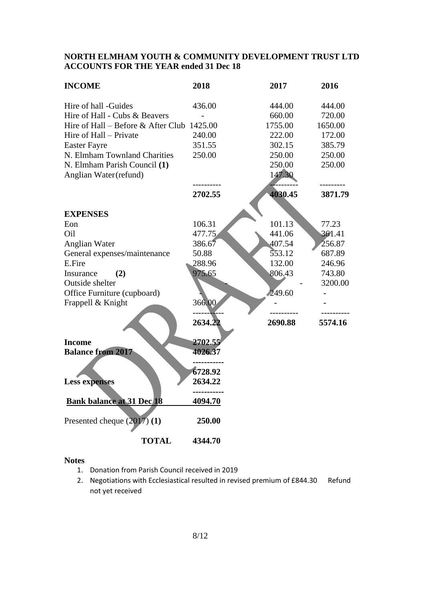#### **NORTH ELMHAM YOUTH & COMMUNITY DEVELOPMENT TRUST LTD ACCOUNTS FOR THE YEAR ended 31 Dec 18**

| <b>INCOME</b>                              | 2018    | 2017    | 2016    |
|--------------------------------------------|---------|---------|---------|
| Hire of hall -Guides                       | 436.00  | 444.00  | 444.00  |
| Hire of Hall - Cubs & Beavers              |         | 660.00  | 720.00  |
| Hire of Hall – Before & After Club 1425.00 |         | 1755.00 | 1650.00 |
| Hire of Hall – Private                     | 240.00  | 222.00  | 172.00  |
| <b>Easter Fayre</b>                        | 351.55  | 302.15  | 385.79  |
| N. Elmham Townland Charities               | 250.00  | 250.00  | 250.00  |
| N. Elmham Parish Council (1)               |         | 250.00  | 250.00  |
| Anglian Water (refund)                     |         | 147.30  |         |
|                                            | 2702.55 | 4030.45 | 3871.79 |
| <b>EXPENSES</b>                            |         |         |         |
| Eon                                        | 106.31  | 101.13  | 77.23   |
| Oil                                        | 477.75  | 441.06  | 361.41  |
| <b>Anglian Water</b>                       | 386.67  | 407.54  | 256.87  |
| General expenses/maintenance               | 50.88   | 553.12  | 687.89  |
| E.Fire                                     | 288.96  | 132.00  | 246.96  |
| (2)<br>Insurance                           | 975.65  | 806.43  | 743.80  |
| Outside shelter                            |         |         | 3200.00 |
| Office Furniture (cupboard)                |         | 249.60  |         |
| Frappell & Knight                          | 366.00  |         |         |
|                                            | 2634.22 | 2690.88 | 5574.16 |
| <b>Income</b>                              | 2702.55 |         |         |
| <b>Balance from 2017</b>                   | 4026.37 |         |         |
|                                            | 6728.92 |         |         |
| <b>Less expenses</b>                       | 2634.22 |         |         |
|                                            | .       |         |         |
| <b>Bank balance at 31 Dec 18</b>           | 4094.70 |         |         |
| Presented cheque $(2017)(1)$               | 250.00  |         |         |
| <b>TOTAL</b>                               | 4344.70 |         |         |

#### **Notes**

- 1. Donation from Parish Council received in 2019
- 2. Negotiations with Ecclesiastical resulted in revised premium of £844.30 Refund not yet received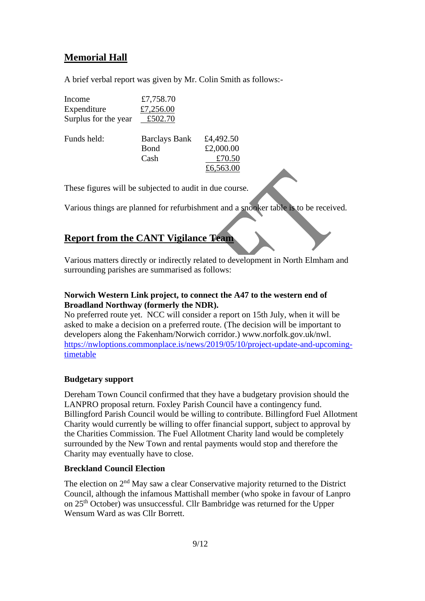# **Memorial Hall**

A brief verbal report was given by Mr. Colin Smith as follows:-

| Income               | £7,758.70            |           |
|----------------------|----------------------|-----------|
| Expenditure          | £7,256.00            |           |
| Surplus for the year | £502.70              |           |
| Funds held:          | <b>Barclays Bank</b> | £4,492.50 |
|                      | Bond                 | £2,000.00 |
|                      | Cash                 | £70.50    |
|                      |                      | £6,563.00 |
|                      |                      |           |

These figures will be subjected to audit in due course.

Various things are planned for refurbishment and a snooker table is to be received.

# **Report from the CANT Vigilance Team**

Various matters directly or indirectly related to development in North Elmham and surrounding parishes are summarised as follows:

#### **Norwich Western Link project, to connect the A47 to the western end of Broadland Northway (formerly the NDR).**

No preferred route yet. NCC will consider a report on 15th July, when it will be asked to make a decision on a preferred route. (The decision will be important to developers along the Fakenham/Norwich corridor.) www.norfolk.gov.uk/nwl. [https://nwloptions.commonplace.is/news/2019/05/10/project-update-and-upcoming](https://nwloptions.commonplace.is/news/2019/05/10/project-update-and-upcoming-timetable)[timetable](https://nwloptions.commonplace.is/news/2019/05/10/project-update-and-upcoming-timetable)

#### **Budgetary support**

Dereham Town Council confirmed that they have a budgetary provision should the LANPRO proposal return. Foxley Parish Council have a contingency fund. Billingford Parish Council would be willing to contribute. Billingford Fuel Allotment Charity would currently be willing to offer financial support, subject to approval by the Charities Commission. The Fuel Allotment Charity land would be completely surrounded by the New Town and rental payments would stop and therefore the Charity may eventually have to close.

#### **Breckland Council Election**

The election on  $2<sup>nd</sup>$  May saw a clear Conservative majority returned to the District Council, although the infamous Mattishall member (who spoke in favour of Lanpro on 25th October) was unsuccessful. Cllr Bambridge was returned for the Upper Wensum Ward as was Cllr Borrett.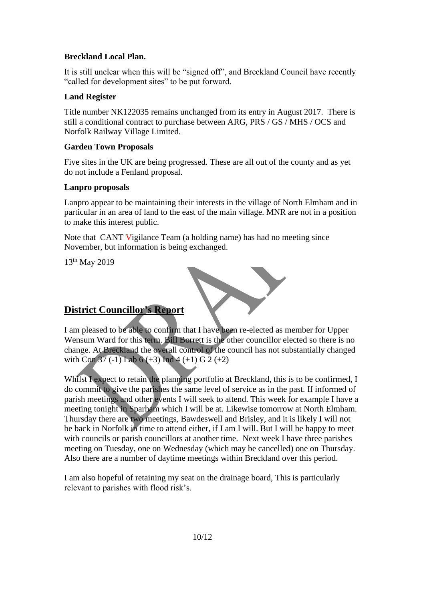### **Breckland Local Plan.**

It is still unclear when this will be "signed off", and Breckland Council have recently "called for development sites" to be put forward.

### **Land Register**

Title number NK122035 remains unchanged from its entry in August 2017. There is still a conditional contract to purchase between ARG, PRS / GS / MHS / OCS and Norfolk Railway Village Limited.

### **Garden Town Proposals**

Five sites in the UK are being progressed. These are all out of the county and as yet do not include a Fenland proposal.

#### **Lanpro proposals**

Lanpro appear to be maintaining their interests in the village of North Elmham and in particular in an area of land to the east of the main village. MNR are not in a position to make this interest public.

Note that CANT Vigilance Team (a holding name) has had no meeting since November, but information is being exchanged.

13th May 2019



## **District Councillor's Report**

I am pleased to be able to confirm that I have been re-elected as member for Upper Wensum Ward for this term. Bill Borrett is the other councillor elected so there is no change. At Breckland the overall control of the council has not substantially changed with Con  $37$  (-1) Lab 6 (+3) Ind 4 (+1) G 2 (+2)

Whilst I expect to retain the planning portfolio at Breckland, this is to be confirmed, I do commit to give the parishes the same level of service as in the past. If informed of parish meetings and other events I will seek to attend. This week for example I have a meeting tonight in Sparham which I will be at. Likewise tomorrow at North Elmham. Thursday there are two meetings, Bawdeswell and Brisley, and it is likely I will not be back in Norfolk in time to attend either, if I am I will. But I will be happy to meet with councils or parish councillors at another time. Next week I have three parishes meeting on Tuesday, one on Wednesday (which may be cancelled) one on Thursday. Also there are a number of daytime meetings within Breckland over this period.

I am also hopeful of retaining my seat on the drainage board, This is particularly relevant to parishes with flood risk's.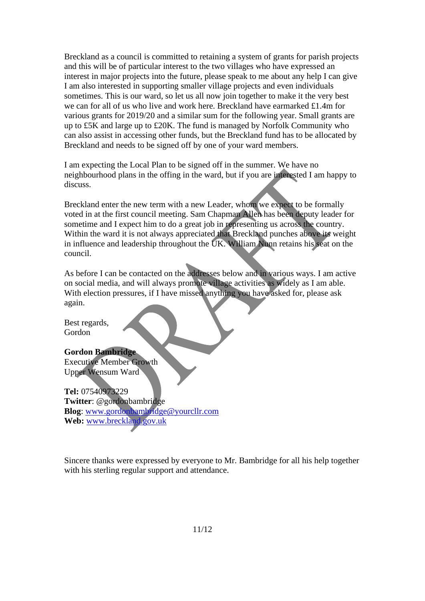Breckland as a council is committed to retaining a system of grants for parish projects and this will be of particular interest to the two villages who have expressed an interest in major projects into the future, please speak to me about any help I can give I am also interested in supporting smaller village projects and even individuals sometimes. This is our ward, so let us all now join together to make it the very best we can for all of us who live and work here. Breckland have earmarked £1.4m for various grants for 2019/20 and a similar sum for the following year. Small grants are up to £5K and large up to £20K. The fund is managed by Norfolk Community who can also assist in accessing other funds, but the Breckland fund has to be allocated by Breckland and needs to be signed off by one of your ward members.

I am expecting the Local Plan to be signed off in the summer. We have no neighbourhood plans in the offing in the ward, but if you are interested I am happy to discuss.

Breckland enter the new term with a new Leader, whom we expect to be formally voted in at the first council meeting. Sam Chapman Allen has been deputy leader for sometime and I expect him to do a great job in representing us across the country. Within the ward it is not always appreciated that Breckland punches above its weight in influence and leadership throughout the UK. William Nunn retains his seat on the council.

As before I can be contacted on the addresses below and in various ways. I am active on social media, and will always promote village activities as widely as I am able. With election pressures, if I have missed anything you have asked for, please ask again.

Best regards, Gordon

#### **Gordon Bambridge**

Executive Member Growth Upper Wensum Ward

**Tel:** 07540973229 **Twitter**: @gordonbambridge **Blog**: [www.gordonbambridge@yourcllr.com](mailto:www.gordonbambridge@yourcllr.com) **Web:** [www.breckland.gov.uk](http://www.breckland.gov.uk/)

Sincere thanks were expressed by everyone to Mr. Bambridge for all his help together with his sterling regular support and attendance.